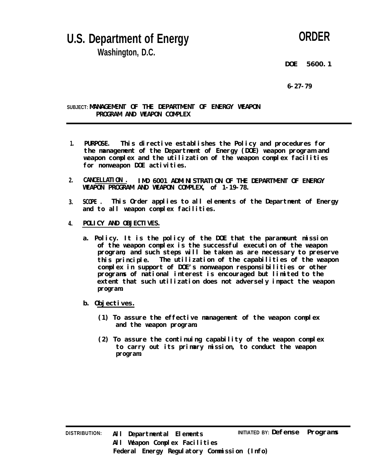## **U.S. Department of Energy Washington, D.C.**

## **ORDER**

**DOE 5600.1**

**6-27-79**

**SUBJECT: MANAGEMENT OF THE DEPARTMENT OF ENERGY WEAPON PROGRAM AND WEAPON COMPLEX**

- **1. PURPOSE. This directive establishes the Policy and procedures for the management of the Department of Energy (DOE) weapon program and weapon complex and the utilization of the weapon complex facilities** for nonweapon DOE activities.
- **2. CANCELLATION . IMD 6001 ADMINISTRATION OF THE DEPARTMENT OF ENERGY WEAPON PROGRAM AND WEAPON COMPLEX, of 1-19-78.**
- **3. SCOPE . This Order applies to all elements of the Department of Energy and to all weapon complex facilities.**
- **4. POLICY AND OBJECTIVES.**
	- **a. Policy. It is the policy of the DOE that the paramount mission of the weapon complex is the successful execution of the weapon program, and such steps will be taken as are necessary to preserve this principle. The utilization of the capabilities of the weapon complex in support of DOE's nonweapon responsibilities or other programs of national interest is encouraged but limited to the extent that such utilization does not adversely impact the weapon program.**
	- **b. Objectives.**
		- **(1) To assure the effective management of the weapon complex and the weapon program.**
		- **(2) To assure the continuing capability of the weapon complex to carry out its primary mission, to conduct the weapon program.**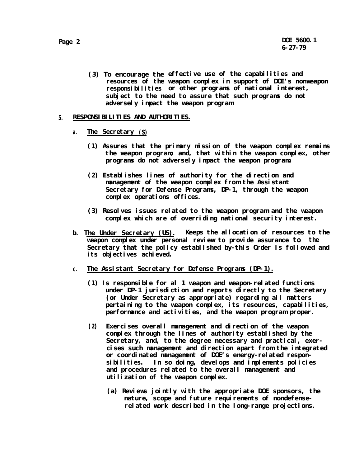**(3) To encourage the effective use of the capabilities and resources of the weapon complex in support of DOE's nonweapon responsibilities or other programs of national interest, subject to the need to assure that such programs do not adversely impact the weapon program.**

## **5. RESPONSIBILITIES AND AUTHORITIES.**

- **a. The Secretary (S)**
	- **(1) Assures that the primary mission of the weapon complex remains the weapon program; and, that within the weapon complex, other programs do not adversely impact the weapon program.**
	- **(2) Establishes lines of authority for the direction and management of the weapon complex from the Assistant Secretary for Defense Programs, DP-1, through the weapon complex operations offices.**
	- **(3) Resolves issues related to the weapon program and the weapon complex which are of overriding national security interest.**
- **b. The Under Secretary (US). Keeps the allocation of resources to the weapon complex under personal review to provide assurance to the Secretary that the policy established by-this Order is followed and its objectives achieved.**
- **c. The Assistant Secretary for Defense Programs (DP-1).**
	- **(1) Is responsible for al 1 weapon and weapon-related functions under DP-1 jurisdiction and reports directly to the Secretary (or Under Secretary as appropriate) regarding all matters pertaining to the weapon complex, its resources, capabilities, performance and activities, and the weapon program proper.**
	- **(2) Exercises overall management and direction of the weapon complex through the lines of authority established by the Secretary, and, to the degree necessary and practical, exercises such management and direction apart from the integrated or coordinated management of DOE's energy-related responsibilities. In so doing, develops and implements policies and procedures related to the overall management and utilization of the weapon complex.**
		- **(a) Reviews jointly with the appropriate DOE sponsors, the** nature, scope and future requirements of nondefense**related work described in the long-range projections.**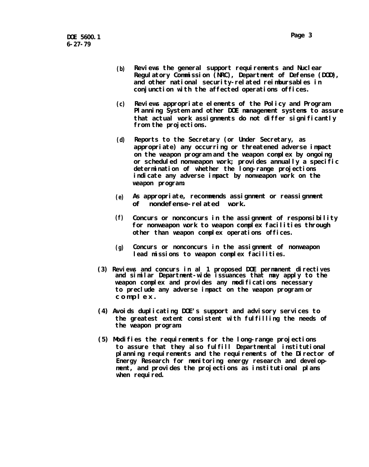- **(b)** Reviews the general support requirements and Nuclear **Regulatory Commission (NRC), Department of Defense (DOD), and other national security-related reimbursables in conjunction with the affected operations offices.**
- **(c) Reviews appropriate elements of the Policy and Program Planning System and other DOE management systems to assure that actual work assignments do not differ significantly from the projections.**
- **(d) Reports to the Secretary (or Under Secretary, as appropriate) any occurring or threatened adverse impact on the weapon program and the weapon complex by ongoing or scheduled nonweapon work; provides annually a specific determination of whether the long-range projections indicate any adverse impact by nonweapon work on the weapon program.**
- **(e) As appropriate, recommends assignment or reassignment of nondefense-related work.**
- **(f) Concurs or nonconcurs in the assignment of responsibility for nonweapon work to weapon complex facilities through other than weapon complex operations offices.**
- **(g) Concurs or nonconcurs in the assignment of nonweapon lead missions to weapon complex facilities.**
- **(3) Reviews and concurs in al 1 proposed DOE permanent directives and similar Department-wide issuances that may apply to the weapon complex and provides any modifications necessary to preclude any adverse impact on the weapon program or complex .**
- **(4) Avoids duplicating DOE's support and advisory services to the greatest extent consistent with fulfilling the needs of the weapon program.**
- **(5) Modifies the requirements for the long-range projections to assure that they also fulfill Departmental institutional planning requirements and the requirements of the Director of Energy Research for monitoring energy research and development, and provides the projections as institutional plans** when required.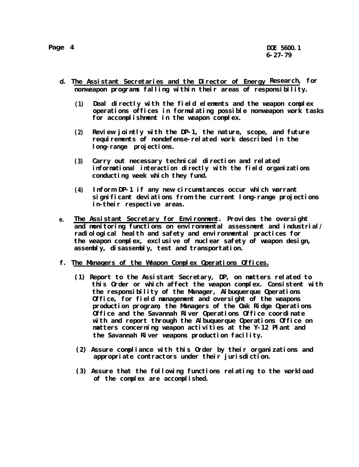- **d. The Assistant Secretaries and the Director of Energy Research, for nonweapon programs falling within their areas of responsibility.**
	- **(1) Deal directly with the field elements and the weapon complex operations offices in formulating possible nonweapon work tasks for accomplishment in the weapon complex.**
	- **(2) Review jointly with the DP-1, the nature, scope, and future** requirements of nondefense-related work described in the **long-range projections.**
	- **(3) Carry out necessary technical direction and related informational interaction directly with the field organizations conducting week which they fund.**
	- **(4) Inform DP-1 if any new circumstances occur which warrant significant deviations from the current long-range projections in-their respective areas.**
- **e. The Assistant Secretary for Environment. Provides the oversight and monitoring functions on environmental assessment and industrial/ radiological health and safety and environmental practices for the weapon complex, exclusive of nuclear safety of weapon design, assembly, disassembly, test and transportation.**
- **f. The Managers of the Weapon Complex Operations Offices.**
	- **(1) Report to the Assistant Secretary, DP, on matters related to this Order or which affect the weapon complex. Consistent with the responsibility of the Manager, Albuquerque Operations Office, for field management and oversight of the weapons production program, the Managers of the Oak Ridge Operations Office and the Savannah River Operations Office coordinate with and report through the Albuquerque Operations Office on matters concerning weapon activities at the Y-12 Plant and the Savannah River weapons production facility.**
	- **(2) Assure compliance with this Order by their organizations and appropriate contractors under their jurisdiction.**
	- **(3) Assure that the following functions relating to the workload of the complex are accomplished.**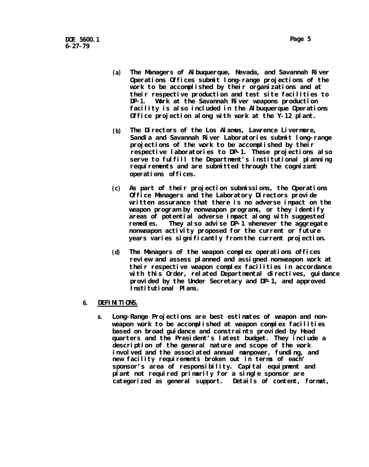- **(a) The Managers of Albuquerque, Nevada, and Savannah River Operations Offices submit long-range projections of the work to be accomplished by their organizations and at their respective production and test site facilities to DP-1. Work at the Savannah River weapons production facility is also included in the Albuquerque Operations Office projection along with work at the Y-12 plant.**
- **(b) The Directors of the Los Alamos, Lawrence Livermore, Sandia and Savannah River Laboratories submit long-range projections of the work to be accomplished by their respective laboratories to DP-1. These projections also serve to fulfill the Department's institutional planning** requirements and are submitted through the cognizant **operations offices.**
- **(c) As part of their projection submissions, the Operations Office Managers and the Laboratory Directors provide written assurance that there is no adverse impact on the weapon program by nonweapon programs, or they identify areas of potential adverse impact along with suggested remedies. They also advise DP-1 whenever the aggregate nonweapon activity proposed for the current or future years varies significantly from the current projection.**
- **(d) The Managers of the weapon complex operations offices review and assess planned and assigned nonweapon work at their respective weapon complex facilities in accordance with this Order, related Departmental directives, guidance provided by the Under Secretary and DP-1, and approved Institutional Plans.**
- **6. DEFINITIONS.**
	- **a. Long-Range Projections are best estimates of weapon and nonweapon work to be accomplished at weapon complex facilities based on broad guidance and constraints provided by Head quarters and the President's latest budget. They include a description of the general nature and scope of the work** involved and the associated annual manpower, funding, and **new facility requirements broken out in terms of each' sponsor's area of responsibility. Capital equipment and plant not required primarily for a single sponsor are categorized as general support. Details of content, format,**